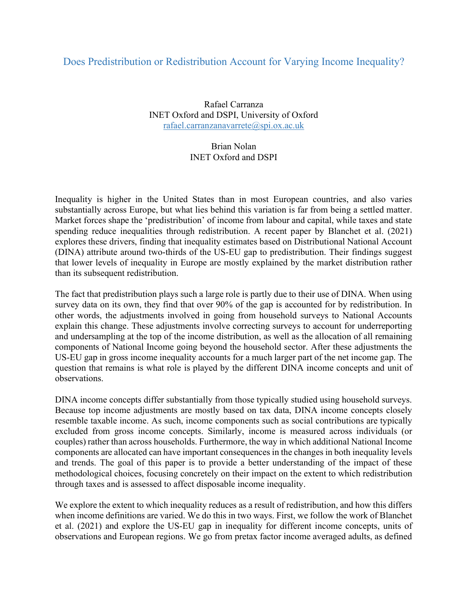## Does Predistribution or Redistribution Account for Varying Income Inequality?

Rafael Carranza INET Oxford and DSPI, University of Oxford rafael.carranzanavarrete@spi.ox.ac.uk

## Brian Nolan INET Oxford and DSPI

Inequality is higher in the United States than in most European countries, and also varies substantially across Europe, but what lies behind this variation is far from being a settled matter. Market forces shape the 'predistribution' of income from labour and capital, while taxes and state spending reduce inequalities through redistribution. A recent paper by Blanchet et al. (2021) explores these drivers, finding that inequality estimates based on Distributional National Account (DINA) attribute around two-thirds of the US-EU gap to predistribution. Their findings suggest that lower levels of inequality in Europe are mostly explained by the market distribution rather than its subsequent redistribution.

The fact that predistribution plays such a large role is partly due to their use of DINA. When using survey data on its own, they find that over 90% of the gap is accounted for by redistribution. In other words, the adjustments involved in going from household surveys to National Accounts explain this change. These adjustments involve correcting surveys to account for underreporting and undersampling at the top of the income distribution, as well as the allocation of all remaining components of National Income going beyond the household sector. After these adjustments the US-EU gap in gross income inequality accounts for a much larger part of the net income gap. The question that remains is what role is played by the different DINA income concepts and unit of observations.

DINA income concepts differ substantially from those typically studied using household surveys. Because top income adjustments are mostly based on tax data, DINA income concepts closely resemble taxable income. As such, income components such as social contributions are typically excluded from gross income concepts. Similarly, income is measured across individuals (or couples) rather than across households. Furthermore, the way in which additional National Income components are allocated can have important consequences in the changes in both inequality levels and trends. The goal of this paper is to provide a better understanding of the impact of these methodological choices, focusing concretely on their impact on the extent to which redistribution through taxes and is assessed to affect disposable income inequality.

We explore the extent to which inequality reduces as a result of redistribution, and how this differs when income definitions are varied. We do this in two ways. First, we follow the work of Blanchet et al. (2021) and explore the US-EU gap in inequality for different income concepts, units of observations and European regions. We go from pretax factor income averaged adults, as defined